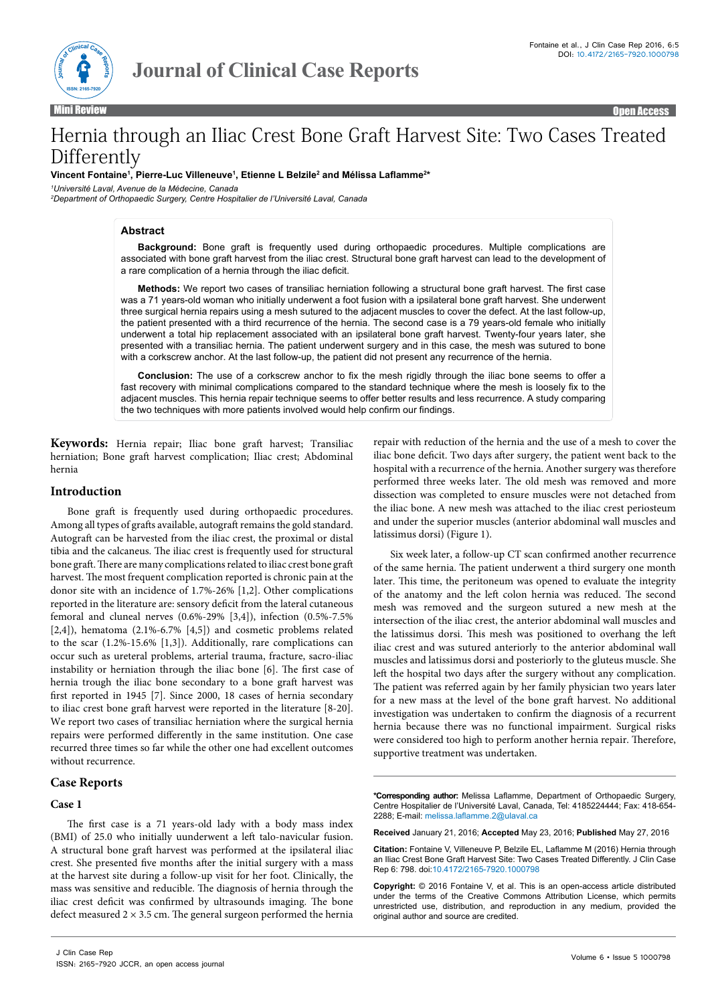

Mini Review Open Access

# Hernia through an Iliac Crest Bone Graft Harvest Site: Two Cases Treated Differently

**Vincent Fontaine1 , Pierre-Luc Villeneuve1 , Etienne L Belzile2 and Mélissa Laflamme<sup>2</sup> \***

*1 Université Laval, Avenue de la Médecine, Canada*

*2 Department of Orthopaedic Surgery, Centre Hospitalier de l'Université Laval, Canada*

# **Abstract**

**Background:** Bone graft is frequently used during orthopaedic procedures. Multiple complications are associated with bone graft harvest from the iliac crest. Structural bone graft harvest can lead to the development of a rare complication of a hernia through the iliac deficit.

**Methods:** We report two cases of transiliac herniation following a structural bone graft harvest. The first case was a 71 years-old woman who initially underwent a foot fusion with a ipsilateral bone graft harvest. She underwent three surgical hernia repairs using a mesh sutured to the adjacent muscles to cover the defect. At the last follow-up, the patient presented with a third recurrence of the hernia. The second case is a 79 years-old female who initially underwent a total hip replacement associated with an ipsilateral bone graft harvest. Twenty-four years later, she presented with a transiliac hernia. The patient underwent surgery and in this case, the mesh was sutured to bone with a corkscrew anchor. At the last follow-up, the patient did not present any recurrence of the hernia.

**Conclusion:** The use of a corkscrew anchor to fix the mesh rigidly through the iliac bone seems to offer a fast recovery with minimal complications compared to the standard technique where the mesh is loosely fix to the adjacent muscles. This hernia repair technique seems to offer better results and less recurrence. A study comparing the two techniques with more patients involved would help confirm our findings.

**Keywords:** Hernia repair; Iliac bone graft harvest; Transiliac herniation; Bone graft harvest complication; Iliac crest; Abdominal hernia

## **Introduction**

Bone graft is frequently used during orthopaedic procedures. Among all types of grafts available, autograft remains the gold standard. Autograft can be harvested from the iliac crest, the proximal or distal tibia and the calcaneus. The iliac crest is frequently used for structural bone graft. There are many complications related to iliac crest bone graft harvest. The most frequent complication reported is chronic pain at the donor site with an incidence of 1.7%-26% [1,2]. Other complications reported in the literature are: sensory deficit from the lateral cutaneous femoral and cluneal nerves (0.6%-29% [3,4]), infection (0.5%-7.5% [2,4]), hematoma (2.1%-6.7% [4,5]) and cosmetic problems related to the scar (1.2%-15.6% [1,3]). Additionally, rare complications can occur such as ureteral problems, arterial trauma, fracture, sacro-iliac instability or herniation through the iliac bone [6]. The first case of hernia trough the iliac bone secondary to a bone graft harvest was first reported in 1945 [7]. Since 2000, 18 cases of hernia secondary to iliac crest bone graft harvest were reported in the literature [8-20]. We report two cases of transiliac herniation where the surgical hernia repairs were performed differently in the same institution. One case recurred three times so far while the other one had excellent outcomes without recurrence.

# **Case Reports**

## **Case 1**

The first case is a 71 years-old lady with a body mass index (BMI) of 25.0 who initially uunderwent a left talo-navicular fusion. A structural bone graft harvest was performed at the ipsilateral iliac crest. She presented five months after the initial surgery with a mass at the harvest site during a follow-up visit for her foot. Clinically, the mass was sensitive and reducible. The diagnosis of hernia through the iliac crest deficit was confirmed by ultrasounds imaging. The bone defect measured  $2 \times 3.5$  cm. The general surgeon performed the hernia

repair with reduction of the hernia and the use of a mesh to cover the iliac bone deficit. Two days after surgery, the patient went back to the hospital with a recurrence of the hernia. Another surgery was therefore performed three weeks later. The old mesh was removed and more dissection was completed to ensure muscles were not detached from the iliac bone. A new mesh was attached to the iliac crest periosteum and under the superior muscles (anterior abdominal wall muscles and latissimus dorsi) (Figure 1).

Six week later, a follow-up CT scan confirmed another recurrence of the same hernia. The patient underwent a third surgery one month later. This time, the peritoneum was opened to evaluate the integrity of the anatomy and the left colon hernia was reduced. The second mesh was removed and the surgeon sutured a new mesh at the intersection of the iliac crest, the anterior abdominal wall muscles and the latissimus dorsi. This mesh was positioned to overhang the left iliac crest and was sutured anteriorly to the anterior abdominal wall muscles and latissimus dorsi and posteriorly to the gluteus muscle. She left the hospital two days after the surgery without any complication. The patient was referred again by her family physician two years later for a new mass at the level of the bone graft harvest. No additional investigation was undertaken to confirm the diagnosis of a recurrent hernia because there was no functional impairment. Surgical risks were considered too high to perform another hernia repair. Therefore, supportive treatment was undertaken.

**\*Corresponding author:** Melissa Laflamme, Department of Orthopaedic Surgery, Centre Hospitalier de l'Université Laval, Canada, Tel: 4185224444; Fax: 418-654- 2288; E-mail: melissa.laflamme.2@ulaval.ca

**Received** January 21, 2016; **Accepted** May 23, 2016; **Published** May 27, 2016

**Citation:** Fontaine V, Villeneuve P, Belzile EL, Laflamme M (2016) Hernia through an Iliac Crest Bone Graft Harvest Site: Two Cases Treated Differently. J Clin Case Rep 6: 798. doi:10.4172/2165-7920.1000798

**Copyright:** © 2016 Fontaine V, et al. This is an open-access article distributed under the terms of the Creative Commons Attribution License, which permits unrestricted use, distribution, and reproduction in any medium, provided the original author and source are credited.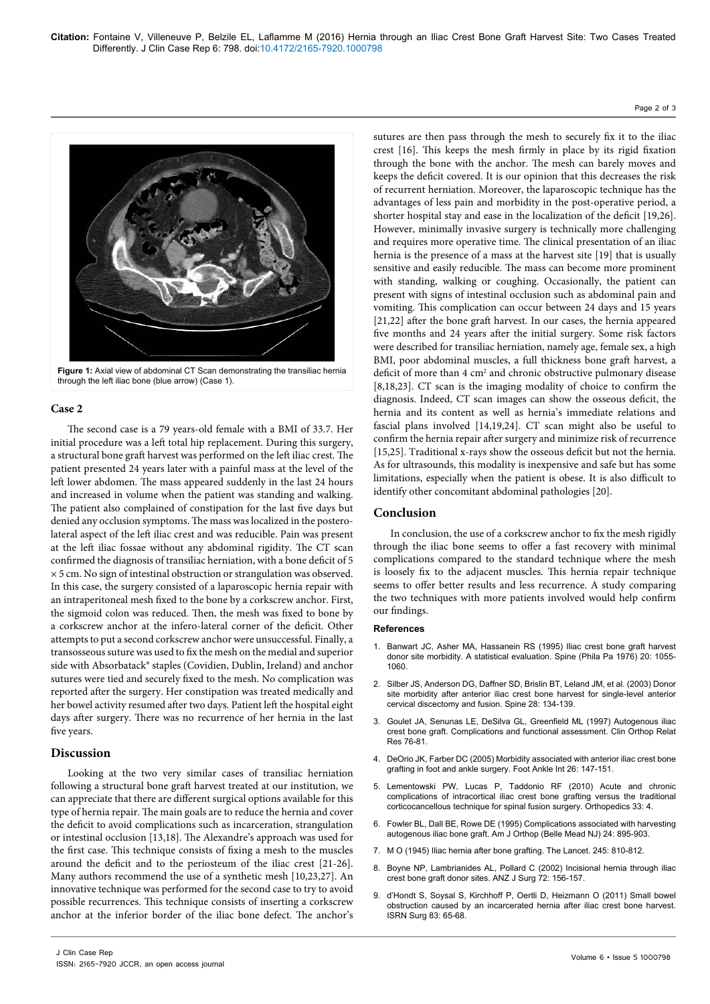#### Page 2 of 3



**Figure 1:** Axial view of abdominal CT Scan demonstrating the transiliac hernia through the left iliac bone (blue arrow) (Case 1).

## **Case 2**

The second case is a 79 years-old female with a BMI of 33.7. Her initial procedure was a left total hip replacement. During this surgery, a structural bone graft harvest was performed on the left iliac crest. The patient presented 24 years later with a painful mass at the level of the left lower abdomen. The mass appeared suddenly in the last 24 hours and increased in volume when the patient was standing and walking. The patient also complained of constipation for the last five days but denied any occlusion symptoms. The mass was localized in the posterolateral aspect of the left iliac crest and was reducible. Pain was present at the left iliac fossae without any abdominal rigidity. The CT scan confirmed the diagnosis of transiliac herniation, with a bone deficit of 5 × 5 cm. No sign of intestinal obstruction or strangulation was observed. In this case, the surgery consisted of a laparoscopic hernia repair with an intraperitoneal mesh fixed to the bone by a corkscrew anchor. First, the sigmoid colon was reduced. Then, the mesh was fixed to bone by a corkscrew anchor at the infero-lateral corner of the deficit. Other attempts to put a second corkscrew anchor were unsuccessful. Finally, a transosseous suture was used to fix the mesh on the medial and superior side with Absorbatack® staples (Covidien, Dublin, Ireland) and anchor sutures were tied and securely fixed to the mesh. No complication was reported after the surgery. Her constipation was treated medically and her bowel activity resumed after two days. Patient left the hospital eight days after surgery. There was no recurrence of her hernia in the last five years.

## **Discussion**

Looking at the two very similar cases of transiliac herniation following a structural bone graft harvest treated at our institution, we can appreciate that there are different surgical options available for this type of hernia repair. The main goals are to reduce the hernia and cover the deficit to avoid complications such as incarceration, strangulation or intestinal occlusion [13,18]. The Alexandre's approach was used for the first case. This technique consists of fixing a mesh to the muscles around the deficit and to the periosteum of the iliac crest [21-26]. Many authors recommend the use of a synthetic mesh [10,23,27]. An innovative technique was performed for the second case to try to avoid possible recurrences. This technique consists of inserting a corkscrew anchor at the inferior border of the iliac bone defect. The anchor's

sutures are then pass through the mesh to securely fix it to the iliac crest [16]. This keeps the mesh firmly in place by its rigid fixation through the bone with the anchor. The mesh can barely moves and keeps the deficit covered. It is our opinion that this decreases the risk of recurrent herniation. Moreover, the laparoscopic technique has the advantages of less pain and morbidity in the post-operative period, a shorter hospital stay and ease in the localization of the deficit [19,26]. However, minimally invasive surgery is technically more challenging and requires more operative time. The clinical presentation of an iliac hernia is the presence of a mass at the harvest site [19] that is usually sensitive and easily reducible. The mass can become more prominent with standing, walking or coughing. Occasionally, the patient can present with signs of intestinal occlusion such as abdominal pain and vomiting. This complication can occur between 24 days and 15 years [21,22] after the bone graft harvest. In our cases, the hernia appeared five months and 24 years after the initial surgery. Some risk factors were described for transiliac herniation, namely age, female sex, a high BMI, poor abdominal muscles, a full thickness bone graft harvest, a deficit of more than 4 cm<sup>2</sup> and chronic obstructive pulmonary disease [8,18,23]. CT scan is the imaging modality of choice to confirm the diagnosis. Indeed, CT scan images can show the osseous deficit, the hernia and its content as well as hernia's immediate relations and fascial plans involved [14,19,24]. CT scan might also be useful to confirm the hernia repair after surgery and minimize risk of recurrence [15,25]. Traditional x-rays show the osseous deficit but not the hernia. As for ultrasounds, this modality is inexpensive and safe but has some limitations, especially when the patient is obese. It is also difficult to identify other concomitant abdominal pathologies [20].

# **Conclusion**

In conclusion, the use of a corkscrew anchor to fix the mesh rigidly through the iliac bone seems to offer a fast recovery with minimal complications compared to the standard technique where the mesh is loosely fix to the adjacent muscles. This hernia repair technique seems to offer better results and less recurrence. A study comparing the two techniques with more patients involved would help confirm our findings.

#### **References**

- 1. [Banwart JC, Asher MA, Hassanein RS \(1995\) Iliac crest bone graft harvest](http://www.ncbi.nlm.nih.gov/pubmed/7631235)  [donor site morbidity. A statistical evaluation. Spine \(Phila Pa 1976\) 20: 1055-](http://www.ncbi.nlm.nih.gov/pubmed/7631235) [1060.](http://www.ncbi.nlm.nih.gov/pubmed/7631235)
- 2. [Silber JS, Anderson DG, Daffner SD, Brislin BT, Leland JM, et al. \(2003\) Donor](http://journals.lww.com/spinejournal/Abstract/2003/01150/Donor_Site_Morbidity_After_Anterior_Iliac_Crest.8.aspx)  [site morbidity after anterior iliac crest bone harvest for single-level anterior](http://journals.lww.com/spinejournal/Abstract/2003/01150/Donor_Site_Morbidity_After_Anterior_Iliac_Crest.8.aspx)  [cervical discectomy and fusion. Spine 28: 134-139.](http://journals.lww.com/spinejournal/Abstract/2003/01150/Donor_Site_Morbidity_After_Anterior_Iliac_Crest.8.aspx)
- 3. [Goulet JA, Senunas LE, DeSilva GL, Greenfield ML \(1997\) Autogenous iliac](http://www.ncbi.nlm.nih.gov/pubmed/9186204)  [crest bone graft. Complications and functional assessment. Clin Orthop Relat](http://www.ncbi.nlm.nih.gov/pubmed/9186204)  [Res 76-81.](http://www.ncbi.nlm.nih.gov/pubmed/9186204)
- 4. [DeOrio JK, Farber DC \(2005\) Morbidity associated with anterior iliac crest bone](http://www.ncbi.nlm.nih.gov/pubmed/15737257)  [grafting in foot and ankle surgery. Foot Ankle Int 26: 147-151.](http://www.ncbi.nlm.nih.gov/pubmed/15737257)
- Lementowski PW, Lucas P, Taddonio RF (2010) Acute and chronic [complications of intracortical iliac crest bone grafting versus the traditional](http://www.healio.com/orthopedics/spine/journals/ortho/2010-4-33-4/%7Ba768e4ef-2eaa-4867-bbb7-c9b16374a4ac%7D/acute-and-chronic-complications-of-intracortical-iliac-crest-bone-grafting-versus-the-traditional-corticocancellous-technique-for-spinal-fusion-surgery)  [corticocancellous technique for spinal fusion surgery. Orthopedics 33: 4.](http://www.healio.com/orthopedics/spine/journals/ortho/2010-4-33-4/%7Ba768e4ef-2eaa-4867-bbb7-c9b16374a4ac%7D/acute-and-chronic-complications-of-intracortical-iliac-crest-bone-grafting-versus-the-traditional-corticocancellous-technique-for-spinal-fusion-surgery)
- 6. [Fowler BL, Dall BE, Rowe DE \(1995\) Complications associated with harvesting](http://www.ncbi.nlm.nih.gov/pubmed/8776079)  [autogenous iliac bone graft. Am J Orthop \(Belle Mead NJ\) 24: 895-903.](http://www.ncbi.nlm.nih.gov/pubmed/8776079)
- 7. M O (1945) Iliac hernia after bone grafting. The Lancet. 245: 810-812.
- 8. Boyne NP, Lambrianides AL, Pollard C (2002) Incisional hernia through iliac [crest bone graft donor sites. ANZ J Surg 72: 156-157.](http://www.ncbi.nlm.nih.gov/pubmed/12074070)
- 9. d'Hondt S, Soysal S, Kirchhoff P, Oertli D, Heizmann O (2011) Small bowel obstruction caused by an incarcerated hernia after iliac crest bone harvest. ISRN Surg 83: 65-68.